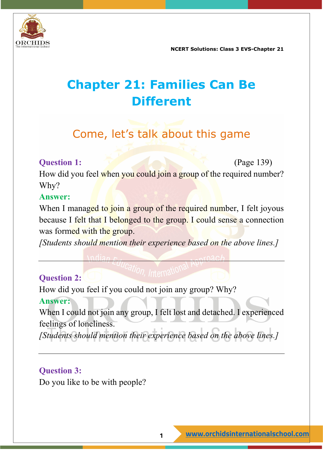

## **Chapter 21: Families Can Be Different**

## Come, let's talk about this game

#### **Question 1:** (Page 139)

How did you feel when you could join a group of the required number? Why?

#### **Answer:**

When I managed to join a group of the required number, I felt joyous because I felt that I belonged to the group. I could sense a connection was formed with the group.

*[Students should mention their experience based on the above lines.]*

#### **Question 2:**

How did you feel if you could not join any group? Why?

#### **Answer:**

When I could not join any group, I felt lost and detached. I experienced feelings of loneliness.

*[Students should mention their experience based on the above lines.]*

#### **Question 3:**

Do you like to be with people?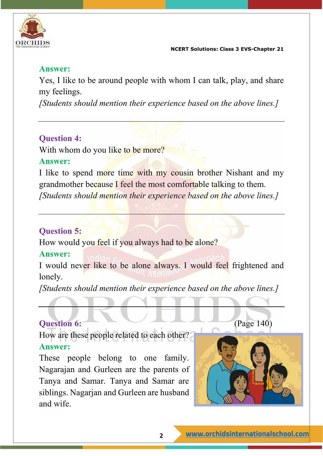

#### **Answer:**

Yes, I like to be around people with whom I can talk, play, and share my feelings.

*[Students should mention their experience based on the above lines.]*

#### **Question 4:**

With whom do you like to be more?

#### **Answer:**

I like to spend more time with my cousin brother Nishant and my grandmother because I feel the most comfortable talking to them. *[Students should mention their experience based on the above lines.]*

#### **Question 5:**

How would you feel if you always had to be alone?

#### **Answer:**

I would never like to be alone always. I would feel frightened and lonely.

*[Students should mention their experience based on the above lines.]*

#### **Question 6:** (Page 140)

How are these people related to each other? **Answer:**

These people belong to one family. Nagarajan and Gurleen are the parents of Tanya and Samar. Tanya and Samar are siblings. Nagarjan and Gurleen are husband and wife.

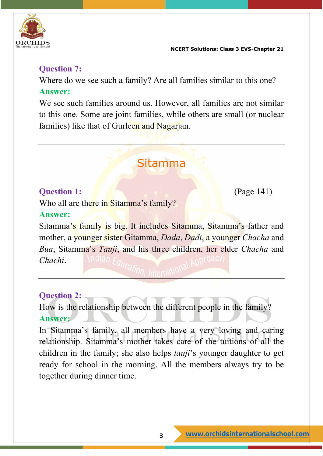

#### **Question 7:**

Where do we see such a family? Are all families similar to this one?

#### **Answer:**

We see such families around us. However, all families are not similar to this one. Some are joint families, while others are small (or nuclear families) like that of Gurleen and Nagarjan.

### Sitamma

#### **Question 1:** (Page 141)

Who all are there in Sitamma's family?

#### **Answer:**

Sitamma's family is big. It includes Sitamma, Sitamma's father and mother, a younger sister Gitamma, *Dada*, *Dadi*, a younger *Chacha* and *Bua*, Sitamma's *Tauji*, and his three children, her elder *Chacha* and *Chachi*.

#### **Question 2:**

How is the relationship between the different people in the family? **Answer:**

In Sitamma's family, all members have a very loving and caring relationship. Sitamma's mother takes care of the tuitions of all the children in the family; she also helps *tauji*'s younger daughter to get ready for school in the morning. All the members always try to be together during dinner time.

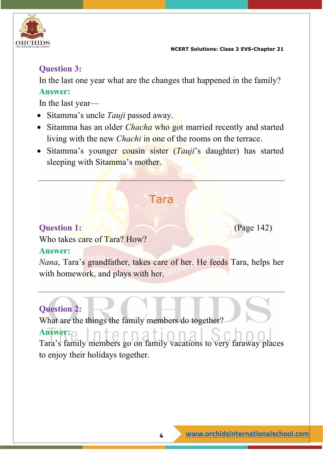

#### **Question 3:**

In the last one year what are the changes that happened in the family? **Answer:**

In the last year—

- Sitamma's uncle *Tauji* passed away.
- Sitamma has an older *Chacha* who got married recently and started living with the new *Chachi* in one of the rooms on the terrace.
- Sitamma's younger cousin sister (*Tauji*'s daughter) has started sleeping with Sitamma's mother.

### Tara

#### **Question 1:** (Page 142)

Who takes care of Tara? How?

#### **Answer:**

*Nana*, Tara's grandfather, takes care of her. He feeds Tara, helps her with homework, and plays with her.

### **Question 2:**

What are the things the family members do together?

#### **Answer:**

Tara's family members go on family vacations to very faraway places to enjoy their holidays together.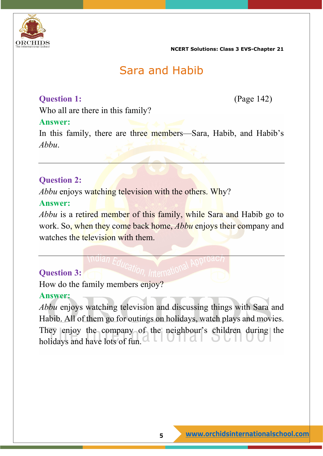

### Sara and Habib

#### **Question 1:** (Page 142)

Who all are there in this family?

#### **Answer:**

In this family, there are three members—Sara, Habib, and Habib's *Abbu*.

#### **Question 2:**

*Abbu* enjoys watching television with the others. Why?

#### **Answer:**

*Abbu* is a retired member of this family, while Sara and Habib go to work. So, when they come back home, *Abbu* enjoys their company and watches the television with them.

#### **Question 3:**

How do the family members enjoy?

#### **Answer:**

*Abbu* enjoys watching television and discussing things with Sara and Habib. All of them go for outings on holidays, watch plays and movies. They enjoy the company of the neighbour's children during the holidays and have lots of fun.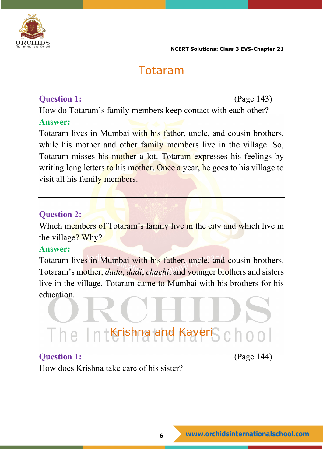

### Totaram

#### **Question 1:** (Page 143)

How do Totaram's family members keep contact with each other? **Answer:**

Totaram lives in Mumbai with his father, uncle, and cousin brothers, while his mother and other family members live in the village. So, Totaram misses his mother a lot. Totaram expresses his feelings by writing long letters to his mother. Once a year, he goes to his village to visit all his family members.

#### **Question 2:**

Which members of Totaram's family live in the city and which live in the village? Why?

#### **Answer:**

Totaram lives in Mumbai with his father, uncle, and cousin brothers. Totaram's mother, *dada*, *dadi*, *chachi*, and younger brothers and sisters live in the village. Totaram came to Mumbai with his brothers for his education.

# The IntKrishna and KaveriSchool

#### **Question 1:** (Page 144)

How does Krishna take care of his sister?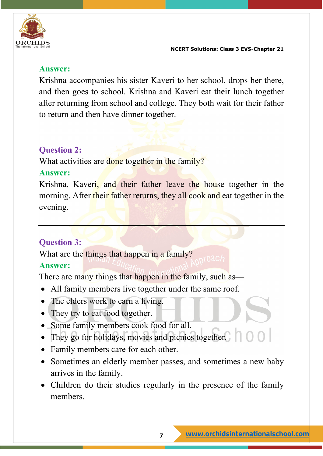

#### **Answer:**

Krishna accompanies his sister Kaveri to her school, drops her there, and then goes to school. Krishna and Kaveri eat their lunch together after returning from school and college. They both wait for their father to return and then have dinner together.

#### **Question 2:**

What activities are done together in the family?

#### **Answer:**

Krishna, Kaveri, and their father leave the house together in the morning. After their father returns, they all cook and eat together in the evening.

#### **Question 3:**

What are the things that happen in a family?

#### **Answer:**

There are many things that happen in the family, such as—

- All family members live together under the same roof.
- The elders work to earn a living.
- They try to eat food together.
- Some family members cook food for all.
- They go for holidays, movies and picnics together.
- Family members care for each other.
- Sometimes an elderly member passes, and sometimes a new baby arrives in the family.
- Children do their studies regularly in the presence of the family members.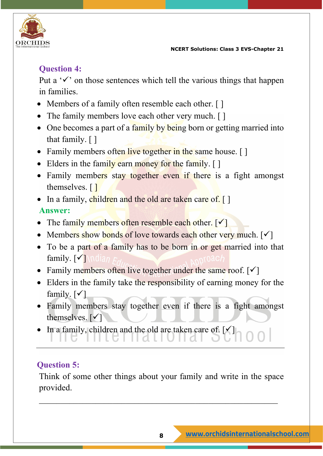

### **Question 4:**

Put a  $\checkmark$  on those sentences which tell the various things that happen in families.

- Members of a family often resemble each other. [ ]
- The family members love each other very much. [ ]
- One becomes a part of a family by being born or getting married into that family. [ ]
- Family members often live together in the same house. []
- Elders in the family earn money for the family. [ ]
- Family members stay together even if there is a fight amongst themselves. [1]
- In a family, children and the old are taken care of. [] **Answer:**
- The family members often resemble each other.  $\lceil \checkmark \rceil$
- Members show bonds of love towards each other very much.  $[\checkmark]$
- To be a part of a family has to be born in or get married into that family.  $\lceil \sqrt{\cdot} \rceil$
- Family members often live together under the same roof.  $\lceil \checkmark \rceil$
- Elders in the family take the responsibility of earning money for the family.  $\lceil \checkmark \rceil$
- Family members stay together even if there is a fight amongst themselves.  $[\checkmark]$
- In a family, children and the old are taken care of.  $\mathcal{V}$

#### **Question 5:**

Think of some other things about your family and write in the space provided.

\_\_\_\_\_\_\_\_\_\_\_\_\_\_\_\_\_\_\_\_\_\_\_\_\_\_\_\_\_\_\_\_\_\_\_\_\_\_\_\_\_\_\_\_\_\_\_\_\_\_\_\_\_\_\_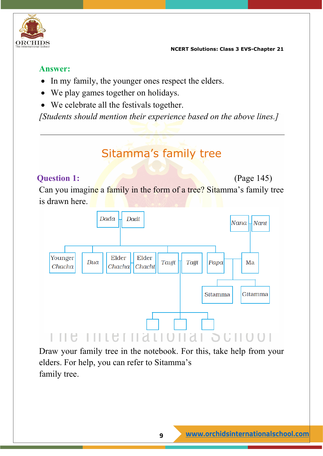

#### **Answer:**

- In my family, the younger ones respect the elders.
- We play games together on holidays.
- We celebrate all the festivals together.

*[Students should mention their experience based on the above lines.]*

## Sitamma's family tree

#### **Question 1:** (Page 145)

Can you imagine a family in the form of a tree? Sitamma's family tree is drawn here.



Draw your family tree in the notebook. For this, take help from your elders. For help, you can refer to Sitamma's family tree.